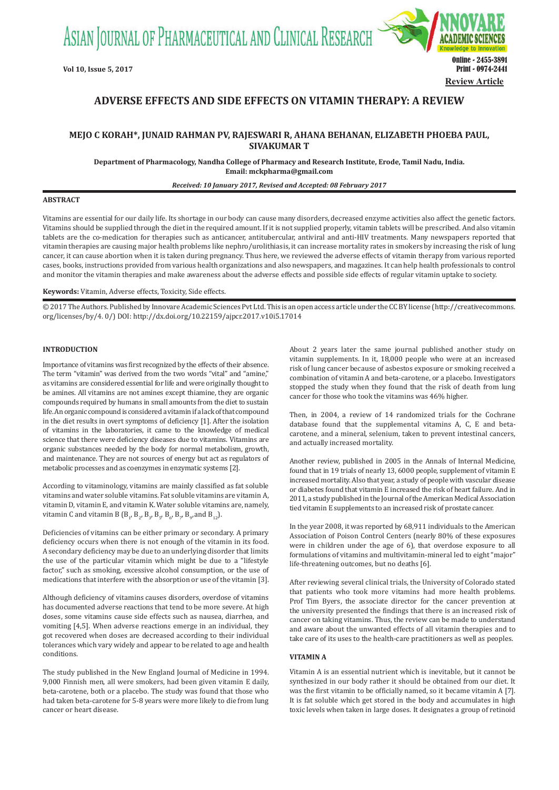ASIAN JOURNAL OF PHARMACEUTICAL AND CLINICAL RESEARCH



# **ADVERSE EFFECTS AND SIDE EFFECTS ON VITAMIN THERAPY: A REVIEW**

# **MEJO C KORAH\*, JUNAID RAHMAN PV, RAJESWARI R, AHANA BEHANAN, ELIZABETH PHOEBA PAUL, SIVAKUMAR T**

**Department of Pharmacology, Nandha College of Pharmacy and Research Institute, Erode, Tamil Nadu, India. Email: mckpharma@gmail.com**

*Received: 10 January 2017, Revised and Accepted: 08 February 2017*

# **ABSTRACT**

Vitamins are essential for our daily life. Its shortage in our body can cause many disorders, decreased enzyme activities also affect the genetic factors. Vitamins should be supplied through the diet in the required amount. If it is not supplied properly, vitamin tablets will be prescribed. And also vitamin tablets are the co-medication for therapies such as anticancer, antitubercular, antiviral and anti-HIV treatments. Many newspapers reported that vitamin therapies are causing major health problems like nephro/urolithiasis, it can increase mortality rates in smokers by increasing the risk of lung cancer, it can cause abortion when it is taken during pregnancy. Thus here, we reviewed the adverse effects of vitamin therapy from various reported cases, books, instructions provided from various health organizations and also newspapers, and magazines. It can help health professionals to control and monitor the vitamin therapies and make awareness about the adverse effects and possible side effects of regular vitamin uptake to society.

# **Keywords:** Vitamin, Adverse effects, Toxicity, Side effects.

© 2017 The Authors. Published by Innovare Academic Sciences Pvt Ltd. This is an open access article under the CC BY license (http://creativecommons. org/licenses/by/4. 0/) DOI: http://dx.doi.org/10.22159/ajpcr.2017.v10i5.17014

### **INTRODUCTION**

Importance of vitamins was first recognized by the effects of their absence. The term "vitamin" was derived from the two words "vital" and "amine," as vitamins are considered essential for life and were originally thought to be amines. All vitamins are not amines except thiamine, they are organic compounds required by humans in small amounts from the diet to sustain life. An organic compound is considered a vitamin if a lack of that compound in the diet results in overt symptoms of deficiency [1]. After the isolation of vitamins in the laboratories, it came to the knowledge of medical science that there were deficiency diseases due to vitamins. Vitamins are organic substances needed by the body for normal metabolism, growth, and maintenance. They are not sources of energy but act as regulators of metabolic processes and as coenzymes in enzymatic systems [2].

According to vitaminology, vitamins are mainly classified as fat soluble vitamins and water soluble vitamins. Fat soluble vitamins are vitamin A, vitamin D, vitamin E, and vitamin K. Water soluble vitamins are, namely, vitamin C and vitamin B  $(B_1, B_2, B_3, B_5, B_6, B_7, B_9,$  and  $B_{12}$ ).

Deficiencies of vitamins can be either primary or secondary. A primary deficiency occurs when there is not enough of the vitamin in its food. A secondary deficiency may be due to an underlying disorder that limits the use of the particular vitamin which might be due to a "lifestyle factor," such as smoking, excessive alcohol consumption, or the use of medications that interfere with the absorption or use of the vitamin [3].

Although deficiency of vitamins causes disorders, overdose of vitamins has documented adverse reactions that tend to be more severe. At high doses, some vitamins cause side effects such as nausea, diarrhea, and vomiting [4,5]. When adverse reactions emerge in an individual, they got recovered when doses are decreased according to their individual tolerances which vary widely and appear to be related to age and health conditions.

The study published in the New England Journal of Medicine in 1994. 9,000 Finnish men, all were smokers, had been given vitamin E daily, beta-carotene, both or a placebo. The study was found that those who had taken beta-carotene for 5-8 years were more likely to die from lung cancer or heart disease.

About 2 years later the same journal published another study on vitamin supplements. In it, 18,000 people who were at an increased risk of lung cancer because of asbestos exposure or smoking received a combination of vitamin A and beta-carotene, or a placebo. Investigators stopped the study when they found that the risk of death from lung cancer for those who took the vitamins was 46% higher.

Then, in 2004, a review of 14 randomized trials for the Cochrane database found that the supplemental vitamins A, C, E and betacarotene, and a mineral, selenium, taken to prevent intestinal cancers, and actually increased mortality.

Another review, published in 2005 in the Annals of Internal Medicine, found that in 19 trials of nearly 13, 6000 people, supplement of vitamin E increased mortality. Also that year, a study of people with vascular disease or diabetes found that vitamin E increased the risk of heart failure. And in 2011, a study published in the Journal of the American Medical Association tied vitamin E supplements to an increased risk of prostate cancer.

In the year 2008, it was reported by 68,911 individuals to the American Association of Poison Control Centers (nearly 80% of these exposures were in children under the age of 6), that overdose exposure to all formulations of vitamins and multivitamin-mineral led to eight "major" life-threatening outcomes, but no deaths [6].

After reviewing several clinical trials, the University of Colorado stated that patients who took more vitamins had more health problems. Prof Tim Byers, the associate director for the cancer prevention at the university presented the findings that there is an increased risk of cancer on taking vitamins. Thus, the review can be made to understand and aware about the unwanted effects of all vitamin therapies and to take care of its uses to the health-care practitioners as well as peoples.

# **VITAMIN A**

Vitamin A is an essential nutrient which is inevitable, but it cannot be synthesized in our body rather it should be obtained from our diet. It was the first vitamin to be officially named, so it became vitamin A [7]. It is fat soluble which get stored in the body and accumulates in high toxic levels when taken in large doses. It designates a group of retinoid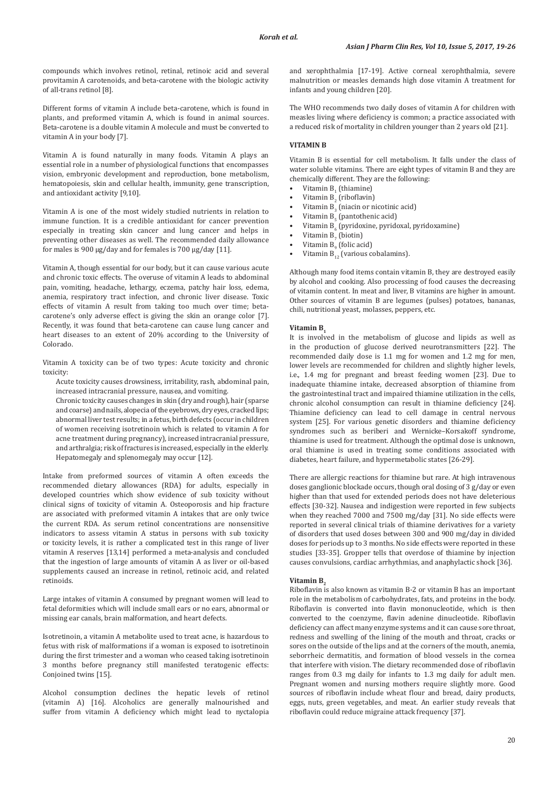compounds which involves retinol, retinal, retinoic acid and several provitamin A carotenoids, and beta-carotene with the biologic activity of all-trans retinol [8].

Different forms of vitamin A include beta-carotene, which is found in plants, and preformed vitamin A, which is found in animal sources. Beta-carotene is a double vitamin A molecule and must be converted to vitamin A in your body [7].

Vitamin A is found naturally in many foods. Vitamin A plays an essential role in a number of physiological functions that encompasses vision, embryonic development and reproduction, bone metabolism, hematopoiesis, skin and cellular health, immunity, gene transcription, and antioxidant activity [9,10].

Vitamin A is one of the most widely studied nutrients in relation to immune function. It is a credible antioxidant for cancer prevention especially in treating skin cancer and lung cancer and helps in preventing other diseases as well. The recommended daily allowance for males is 900 µg/day and for females is 700 µg/day [11].

Vitamin A, though essential for our body, but it can cause various acute and chronic toxic effects. The overuse of vitamin A leads to abdominal pain, vomiting, headache, lethargy, eczema, patchy hair loss, edema, anemia, respiratory tract infection, and chronic liver disease. Toxic effects of vitamin A result from taking too much over time; betacarotene's only adverse effect is giving the skin an orange color [7]. Recently, it was found that beta-carotene can cause lung cancer and heart diseases to an extent of 20% according to the University of Colorado.

Vitamin A toxicity can be of two types: Acute toxicity and chronic toxicity:

Acute toxicity causes drowsiness, irritability, rash, abdominal pain, increased intracranial pressure, nausea, and vomiting.

Chronic toxicity causes changes in skin (dry and rough), hair (sparse and coarse) and nails, alopecia of the eyebrows, dry eyes, cracked lips; abnormal liver test results; in a fetus, birth defects (occur in children of women receiving isotretinoin which is related to vitamin A for acne treatment during pregnancy), increased intracranial pressure, and arthralgia; risk of fractures is increased, especially in the elderly. Hepatomegaly and splenomegaly may occur [12].

Intake from preformed sources of vitamin A often exceeds the recommended dietary allowances (RDA) for adults, especially in developed countries which show evidence of sub toxicity without clinical signs of toxicity of vitamin A. Osteoporosis and hip fracture are associated with preformed vitamin A intakes that are only twice the current RDA. As serum retinol concentrations are nonsensitive indicators to assess vitamin A status in persons with sub toxicity or toxicity levels, it is rather a complicated test in this range of liver vitamin A reserves [13,14] performed a meta-analysis and concluded that the ingestion of large amounts of vitamin A as liver or oil-based supplements caused an increase in retinol, retinoic acid, and related retinoids.

Large intakes of vitamin A consumed by pregnant women will lead to fetal deformities which will include small ears or no ears, abnormal or missing ear canals, brain malformation, and heart defects.

Isotretinoin, a vitamin A metabolite used to treat acne, is hazardous to fetus with risk of malformations if a woman is exposed to isotretinoin during the first trimester and a woman who ceased taking isotretinoin 3 months before pregnancy still manifested teratogenic effects: Conjoined twins [15].

Alcohol consumption declines the hepatic levels of retinol (vitamin A) [16]. Alcoholics are generally malnourished and suffer from vitamin A deficiency which might lead to nyctalopia

and xerophthalmia [17-19]. Active corneal xerophthalmia, severe malnutrition or measles demands high dose vitamin A treatment for infants and young children [20].

The WHO recommends two daily doses of vitamin A for children with measles living where deficiency is common; a practice associated with a reduced risk of mortality in children younger than 2 years old [21].

## **VITAMIN B**

Vitamin B is essential for cell metabolism. It falls under the class of water soluble vitamins. There are eight types of vitamin B and they are chemically different. They are the following:

- Vitamin  $B_1$  (thiamine)
- Vitamin  $B_2$  (riboflavin)<br>• Vitamin B, (niacin or n)
- Vitamin  $B_3$  (niacin or nicotinic acid)
- Vitamin  $B_5$  (pantothenic acid)
- Vitamin  $B_6$  (pyridoxine, pyridoxal, pyridoxamine)
- Vitamin  $B_7$  (biotin)
- Vitamin  $B_9$  (folic acid) Vitamin  $B_{12}$  (various cobalamins).

Although many food items contain vitamin B, they are destroyed easily by alcohol and cooking. Also processing of food causes the decreasing of vitamin content. In meat and liver, B vitamins are higher in amount. Other sources of vitamin B are legumes (pulses) potatoes, bananas, chili, nutritional yeast, molasses, peppers, etc.

#### **Vitamin B**

It is involved in the metabolism of glucose and lipids as well as in the production of glucose derived neurotransmitters [22]. The recommended daily dose is 1.1 mg for women and 1.2 mg for men, lower levels are recommended for children and slightly higher levels, i.e., 1.4 mg for pregnant and breast feeding women [23]. Due to inadequate thiamine intake, decreased absorption of thiamine from the gastrointestinal tract and impaired thiamine utilization in the cells, chronic alcohol consumption can result in thiamine deficiency [24]. Thiamine deficiency can lead to cell damage in central nervous system [25]. For various genetic disorders and thiamine deficiency syndromes such as beriberi and Wernicke–Korsakoff syndrome, thiamine is used for treatment. Although the optimal dose is unknown, oral thiamine is used in treating some conditions associated with diabetes, heart failure, and hypermetabolic states [26-29].

There are allergic reactions for thiamine but rare. At high intravenous doses ganglionic blockade occurs, though oral dosing of 3 g/day or even higher than that used for extended periods does not have deleterious effects [30-32]. Nausea and indigestion were reported in few subjects when they reached 7000 and 7500 mg/day [31]. No side effects were reported in several clinical trials of thiamine derivatives for a variety of disorders that used doses between 300 and 900 mg/day in divided doses for periods up to 3 months. No side effects were reported in these studies [33-35]. Gropper tells that overdose of thiamine by injection causes convulsions, cardiac arrhythmias, and anaphylactic shock [36].

#### **Vitamin B**<sub>2</sub>

Riboflavin is also known as vitamin B-2 or vitamin B has an important role in the metabolism of carbohydrates, fats, and proteins in the body. Riboflavin is converted into flavin mononucleotide, which is then converted to the coenzyme, flavin adenine dinucleotide. Riboflavin deficiency can affect many enzyme systems and it can cause sore throat, redness and swelling of the lining of the mouth and throat, cracks or sores on the outside of the lips and at the corners of the mouth, anemia, seborrheic dermatitis, and formation of blood vessels in the cornea that interfere with vision. The dietary recommended dose of riboflavin ranges from 0.3 mg daily for infants to 1.3 mg daily for adult men. Pregnant women and nursing mothers require slightly more. Good sources of riboflavin include wheat flour and bread, dairy products, eggs, nuts, green vegetables, and meat. An earlier study reveals that riboflavin could reduce migraine attack frequency [37].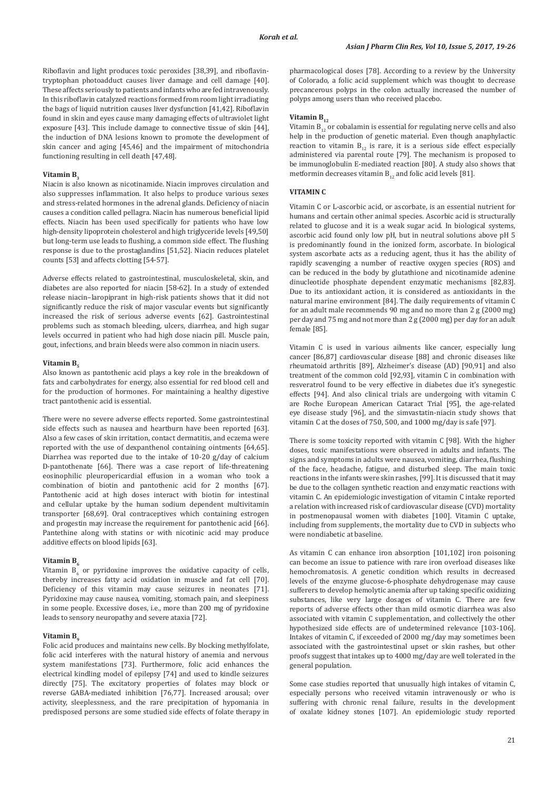Riboflavin and light produces toxic peroxides [38,39], and riboflavintryptophan photoadduct causes liver damage and cell damage [40]. These affects seriously to patients and infants who are fed intravenously. In this riboflavin catalyzed reactions formed from room light irradiating the bags of liquid nutrition causes liver dysfunction [41,42]. Riboflavin found in skin and eyes cause many damaging effects of ultraviolet light exposure [43]. This include damage to connective tissue of skin [44], the induction of DNA lesions known to promote the development of skin cancer and aging [45,46] and the impairment of mitochondria functioning resulting in cell death [47,48].

#### **Vitamin B**<sub>2</sub>

Niacin is also known as nicotinamide. Niacin improves circulation and also suppresses inflammation. It also helps to produce various sexes and stress-related hormones in the adrenal glands. Deficiency of niacin causes a condition called pellagra. Niacin has numerous beneficial lipid effects. Niacin has been used specifically for patients who have low high-density lipoprotein cholesterol and high triglyceride levels [49,50] but long-term use leads to flushing, a common side effect. The flushing response is due to the prostaglandins [51,52]. Niacin reduces platelet counts [53] and affects clotting [54-57].

Adverse effects related to gastrointestinal, musculoskeletal, skin, and diabetes are also reported for niacin [58-62]. In a study of extended release niacin–laropiprant in high-risk patients shows that it did not significantly reduce the risk of major vascular events but significantly increased the risk of serious adverse events [62]. Gastrointestinal problems such as stomach bleeding, ulcers, diarrhea, and high sugar levels occurred in patient who had high dose niacin pill. Muscle pain, gout, infections, and brain bleeds were also common in niacin users.

### **Vitamin B**<sub>5</sub>

Also known as pantothenic acid plays a key role in the breakdown of fats and carbohydrates for energy, also essential for red blood cell and for the production of hormones. For maintaining a healthy digestive tract pantothenic acid is essential.

There were no severe adverse effects reported. Some gastrointestinal side effects such as nausea and heartburn have been reported [63]. Also a few cases of skin irritation, contact dermatitis, and eczema were reported with the use of dexpanthenol containing ointments [64,65]. Diarrhea was reported due to the intake of 10-20 g/day of calcium D-pantothenate [66]. There was a case report of life-threatening eosinophilic pleuropericardial effusion in a woman who took a combination of biotin and pantothenic acid for 2 months [67]. Pantothenic acid at high doses interact with biotin for intestinal and cellular uptake by the human sodium dependent multivitamin transporter [68,69]. Oral contraceptives which containing estrogen and progestin may increase the requirement for pantothenic acid [66]. Pantethine along with statins or with nicotinic acid may produce additive effects on blood lipids [63].

#### **Vitamin B**

Vitamin  $B_6$  or pyridoxine improves the oxidative capacity of cells, thereby increases fatty acid oxidation in muscle and fat cell [70]. Deficiency of this vitamin may cause seizures in neonates [71]. Pyridoxine may cause nausea, vomiting, stomach pain, and sleepiness in some people. Excessive doses, i.e., more than 200 mg of pyridoxine leads to sensory neuropathy and severe ataxia [72].

#### **Vitamin B.**

Folic acid produces and maintains new cells. By blocking methylfolate, folic acid interferes with the natural history of anemia and nervous system manifestations [73]. Furthermore, folic acid enhances the electrical kindling model of epilepsy [74] and used to kindle seizures directly [75]. The excitatory properties of folates may block or reverse GABA-mediated inhibition [76,77]. Increased arousal; over activity, sleeplessness, and the rare precipitation of hypomania in predisposed persons are some studied side effects of folate therapy in pharmacological doses [78]. According to a review by the University of Colorado, a folic acid supplement which was thought to decrease precancerous polyps in the colon actually increased the number of polyps among users than who received placebo.

# **Vitamin B**<sub>12</sub>

Vitamin  $\overline{B_{12}}$  or cobalamin is essential for regulating nerve cells and also help in the production of genetic material. Even though anaphylactic reaction to vitamin  $B_{12}$  is rare, it is a serious side effect especially administered via parental route [79]. The mechanism is proposed to be immunoglobulin E-mediated reaction [80]. A study also shows that metformin decreases vitamin  $B_{12}$  and folic acid levels [81].

# **VITAMIN C**

Vitamin C or L-ascorbic acid, or ascorbate, is an essential nutrient for humans and certain other animal species. Ascorbic acid is structurally related to glucose and it is a weak sugar acid. In biological systems, ascorbic acid found only low pH, but in neutral solutions above pH 5 is predominantly found in the ionized form, ascorbate. In biological system ascorbate acts as a reducing agent, thus it has the ability of rapidly scavenging a number of reactive oxygen species (ROS) and can be reduced in the body by glutathione and nicotinamide adenine dinucleotide phosphate dependent enzymatic mechanisms [82,83]. Due to its antioxidant action, it is considered as antioxidants in the natural marine environment [84]. The daily requirements of vitamin C for an adult male recommends 90 mg and no more than 2 g (2000 mg) per day and 75 mg and not more than 2 g (2000 mg) per day for an adult female [85].

Vitamin C is used in various ailments like cancer, especially lung cancer [86,87] cardiovascular disease [88] and chronic diseases like rheumatoid arthritis [89], Alzheimer's disease (AD) [90,91] and also treatment of the common cold [92,93], vitamin C in combination with resveratrol found to be very effective in diabetes due it's synegestic effects [94]. And also clinical trials are undergoing with vitamin C are Roche European American Cataract Trial [95], the age-related eye disease study [96], and the simvastatin-niacin study shows that vitamin C at the doses of 750, 500, and 1000 mg/day is safe [97].

There is some toxicity reported with vitamin C [98]. With the higher doses, toxic manifestations were observed in adults and infants. The signs and symptoms in adults were nausea, vomiting, diarrhea, flushing of the face, headache, fatigue, and disturbed sleep. The main toxic reactions in the infants were skin rashes, [99]. It is discussed that it may be due to the collagen synthetic reaction and enzymatic reactions with vitamin C. An epidemiologic investigation of vitamin C intake reported a relation with increased risk of cardiovascular disease (CVD) mortality in postmenopausal women with diabetes [100]. Vitamin C uptake, including from supplements, the mortality due to CVD in subjects who were nondiabetic at baseline.

As vitamin C can enhance iron absorption [101,102] iron poisoning can become an issue to patience with rare iron overload diseases like hemochromatosis. A genetic condition which results in decreased levels of the enzyme glucose-6-phosphate dehydrogenase may cause sufferers to develop hemolytic anemia after up taking specific oxidizing substances, like very large dosages of vitamin C. There are few reports of adverse effects other than mild osmotic diarrhea was also associated with vitamin C supplementation, and collectively the other hypothesized side effects are of undetermined relevance [103-106]. Intakes of vitamin C, if exceeded of 2000 mg/day may sometimes been associated with the gastrointestinal upset or skin rashes, but other proofs suggest that intakes up to 4000 mg/day are well tolerated in the general population.

Some case studies reported that unusually high intakes of vitamin C, especially persons who received vitamin intravenously or who is suffering with chronic renal failure, results in the development of oxalate kidney stones [107]. An epidemiologic study reported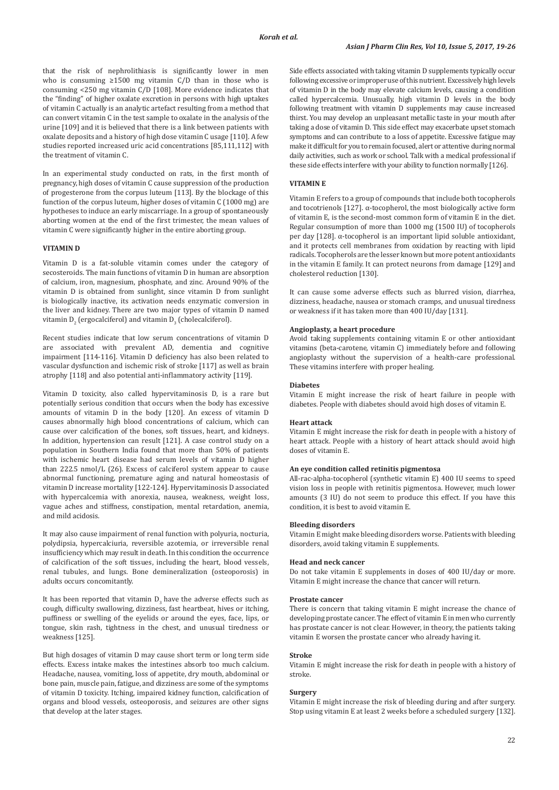that the risk of nephrolithiasis is significantly lower in men who is consuming ≥1500 mg vitamin C/D than in those who is consuming <250 mg vitamin C/D [108]. More evidence indicates that the "finding" of higher oxalate excretion in persons with high uptakes of vitamin C actually is an analytic artefact resulting from a method that can convert vitamin C in the test sample to oxalate in the analysis of the urine [109] and it is believed that there is a link between patients with oxalate deposits and a history of high dose vitamin C usage [110]. A few studies reported increased uric acid concentrations [85,111,112] with the treatment of vitamin C.

In an experimental study conducted on rats, in the first month of pregnancy, high doses of vitamin C cause suppression of the production of progesterone from the corpus luteum [113]. By the blockage of this function of the corpus luteum, higher doses of vitamin C (1000 mg) are hypotheses to induce an early miscarriage. In a group of spontaneously aborting women at the end of the first trimester, the mean values of vitamin C were significantly higher in the entire aborting group.

#### **VITAMIN D**

Vitamin D is a fat-soluble vitamin comes under the category of secosteroids. The main functions of vitamin D in human are absorption of calcium, iron, magnesium, phosphate, and zinc. Around 90% of the vitamin D is obtained from sunlight, since vitamin D from sunlight is biologically inactive, its activation needs enzymatic conversion in the liver and kidney. There are two major types of vitamin D named vitamin D $_2$  (ergocalciferol) and vitamin D $_3$  (cholecalciferol).

Recent studies indicate that low serum concentrations of vitamin D are associated with prevalent AD, dementia and cognitive impairment [114-116]. Vitamin D deficiency has also been related to vascular dysfunction and ischemic risk of stroke [117] as well as brain atrophy [118] and also potential anti-inflammatory activity [119].

Vitamin D toxicity, also called hypervitaminosis D, is a rare but potentially serious condition that occurs when the body has excessive amounts of vitamin D in the body [120]. An excess of vitamin D causes abnormally high blood concentrations of calcium, which can cause over calcification of the bones, soft tissues, heart, and kidneys. In addition, hypertension can result [121]. A case control study on a population in Southern India found that more than 50% of patients with ischemic heart disease had serum levels of vitamin D higher than 222.5 nmol/L (26). Excess of calciferol system appear to cause abnormal functioning, premature aging and natural homeostasis of vitamin D increase mortality [122-124]. Hypervitaminosis D associated with hypercalcemia with anorexia, nausea, weakness, weight loss, vague aches and stiffness, constipation, mental retardation, anemia, and mild acidosis.

It may also cause impairment of renal function with polyuria, nocturia, polydipsia, hypercalciuria, reversible azotemia, or irreversible renal insufficiency which may result in death. In this condition the occurrence of calcification of the soft tissues, including the heart, blood vessels, renal tubules, and lungs. Bone demineralization (osteoporosis) in adults occurs concomitantly.

It has been reported that vitamin  $D_3$  have the adverse effects such as cough, difficulty swallowing, dizziness, fast heartbeat, hives or itching, puffiness or swelling of the eyelids or around the eyes, face, lips, or tongue, skin rash, tightness in the chest, and unusual tiredness or weakness [125].

But high dosages of vitamin D may cause short term or long term side effects. Excess intake makes the intestines absorb too much calcium. Headache, nausea, vomiting, loss of appetite, dry mouth, abdominal or bone pain, muscle pain, fatigue, and dizziness are some of the symptoms of vitamin D toxicity. Itching, impaired kidney function, calcification of organs and blood vessels, osteoporosis, and seizures are other signs that develop at the later stages.

Side effects associated with taking vitamin D supplements typically occur following excessive or improper use of this nutrient. Excessively high levels of vitamin D in the body may elevate calcium levels, causing a condition called hypercalcemia. Unusually, high vitamin D levels in the body following treatment with vitamin D supplements may cause increased thirst. You may develop an unpleasant metallic taste in your mouth after taking a dose of vitamin D. This side effect may exacerbate upset stomach symptoms and can contribute to a loss of appetite. Excessive fatigue may make it difficult for you to remain focused, alert or attentive during normal daily activities, such as work or school. Talk with a medical professional if these side effects interfere with your ability to function normally [126].

## **VITAMIN E**

Vitamin E refers to a group of compounds that include both tocopherols and tocotrienols [127].  $\alpha$ -tocopherol, the most biologically active form of vitamin E, is the second-most common form of vitamin E in the diet. Regular consumption of more than 1000 mg (1500 IU) of tocopherols per day [128]. α-tocopherol is an important lipid soluble antioxidant, and it protects cell membranes from oxidation by reacting with lipid radicals. Tocopherols are the lesser known but more potent antioxidants in the vitamin E family. It can protect neurons from damage [129] and cholesterol reduction [130].

It can cause some adverse effects such as blurred vision, diarrhea, dizziness, headache, nausea or stomach cramps, and unusual tiredness or weakness if it has taken more than 400 IU/day [131].

# **Angioplasty, a heart procedure**

Avoid taking supplements containing vitamin E or other antioxidant vitamins (beta-carotene, vitamin C) immediately before and following angioplasty without the supervision of a health-care professional. These vitamins interfere with proper healing.

# **Diabetes**

Vitamin E might increase the risk of heart failure in people with diabetes. People with diabetes should avoid high doses of vitamin E.

#### **Heart attack**

Vitamin E might increase the risk for death in people with a history of heart attack. People with a history of heart attack should avoid high doses of vitamin E.

# **An eye condition called retinitis pigmentosa**

All-rac-alpha-tocopherol (synthetic vitamin E) 400 IU seems to speed vision loss in people with retinitis pigmentosa. However, much lower amounts (3 IU) do not seem to produce this effect. If you have this condition, it is best to avoid vitamin E.

#### **Bleeding disorders**

Vitamin E might make bleeding disorders worse. Patients with bleeding disorders, avoid taking vitamin E supplements.

#### **Head and neck cancer**

Do not take vitamin E supplements in doses of 400 IU/day or more. Vitamin E might increase the chance that cancer will return.

## **Prostate cancer**

There is concern that taking vitamin E might increase the chance of developing prostate cancer. The effect of vitamin E in men who currently has prostate cancer is not clear. However, in theory, the patients taking vitamin E worsen the prostate cancer who already having it.

#### **Stroke**

Vitamin E might increase the risk for death in people with a history of stroke.

# **Surgery**

Vitamin E might increase the risk of bleeding during and after surgery. Stop using vitamin E at least 2 weeks before a scheduled surgery [132].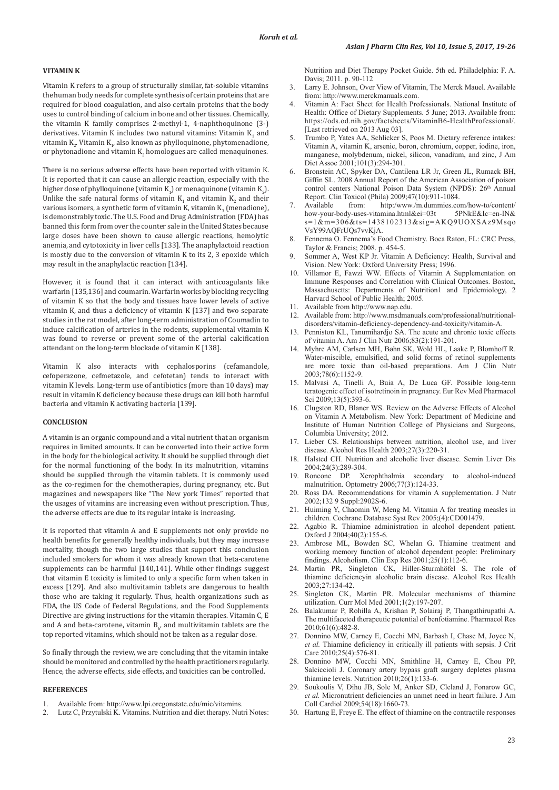### **VITAMIN K**

Vitamin K refers to a group of structurally similar, fat-soluble vitamins the human body needs for complete synthesis of certain proteins that are required for blood coagulation, and also certain proteins that the body uses to control binding of calcium in bone and other tissues. Chemically, the vitamin K family comprises 2-methyl-1, 4-naphthoquinone (3-) derivatives. Vitamin K includes two natural vitamins: Vitamin  $K_1$  and  $v$ itamin K<sub>2</sub>. Vitamin K<sub>1</sub>, also known as phylloquinone, phytomenadione, or phytonadione and vitamin  $\mathtt{K}_2$  homologues are called menaquinones.

There is no serious adverse effects have been reported with vitamin K. It is reported that it can cause an allergic reaction, especially with the higher dose of phylloquinone (vitamin K<sub>1</sub>) or menaquinone (vitamin K<sub>2</sub>).<br>\*\* Unlike the safe natural forms of vitamin  $K_1$  and vitamin  $K_2$  and their various isomers, a synthetic form of vitamin K, vitamin K<sub>3</sub> (menadione), is demonstrably toxic. The U.S. Food and Drug Administration (FDA) has banned this form from over the counter sale in the United States because large doses have been shown to cause allergic reactions, hemolytic anemia, and cytotoxicity in liver cells [133]. The anaphylactoid reaction is mostly due to the conversion of vitamin K to its 2, 3 epoxide which may result in the anaphylactic reaction [134].

However, it is found that it can interact with anticoagulants like warfarin [135,136] and coumarin. Warfarin works by blocking recycling of vitamin K so that the body and tissues have lower levels of active vitamin K, and thus a deficiency of vitamin K [137] and two separate studies in the rat model, after long-term administration of Coumadin to induce calcification of arteries in the rodents, supplemental vitamin K was found to reverse or prevent some of the arterial calcification attendant on the long-term blockade of vitamin K [138].

Vitamin K also interacts with cephalosporins (cefamandole, cefoperazone, cefmetazole, and cefotetan) tends to interact with vitamin K levels. Long-term use of antibiotics (more than 10 days) may result in vitamin K deficiency because these drugs can kill both harmful bacteria and vitamin K activating bacteria [139].

#### **CONCLUSION**

A vitamin is an organic compound and a vital nutrient that an organism requires in limited amounts. It can be converted into their active form in the body for the biological activity. It should be supplied through diet for the normal functioning of the body. In its malnutrition, vitamins should be supplied through the vitamin tablets. It is commonly used as the co-regimen for the chemotherapies, during pregnancy, etc. But magazines and newspapers like "The New york Times" reported that the usages of vitamins are increasing even without prescription. Thus, the adverse effects are due to its regular intake is increasing.

It is reported that vitamin A and E supplements not only provide no health benefits for generally healthy individuals, but they may increase mortality, though the two large studies that support this conclusion included smokers for whom it was already known that beta-carotene supplements can be harmful [140,141]. While other findings suggest that vitamin E toxicity is limited to only a specific form when taken in excess [129]. And also multivitamin tablets are dangerous to health those who are taking it regularly. Thus, health organizations such as FDA, the US Code of Federal Regulations, and the Food Supplements Directive are giving instructions for the vitamin therapies. Vitamin C, E and A and beta-carotene, vitamin  $B_{\rho}$  and multivitamin tablets are the top reported vitamins, which should not be taken as a regular dose.

So finally through the review, we are concluding that the vitamin intake should be monitored and controlled by the health practitioners regularly. Hence, the adverse effects, side effects, and toxicities can be controlled.

### **REFERENCES**

- 1. Available from: http://www.lpi.oregonstate.edu/mic/vitamins.
- 2. Lutz C, Przytulski K. Vitamins. Nutrition and diet therapy. Nutri Notes:

Nutrition and Diet Therapy Pocket Guide. 5th ed. Philadelphia: F. A. Davis; 2011. p. 90-112

- Larry E. Johnson, Over View of Vitamin, The Merck Mauel. Available from: http://www.merckmanuals.com.
- 4. Vitamin A: Fact Sheet for Health Professionals. National Institute of Health: Office of Dietary Supplements. 5 June; 2013. Available from: https://ods.od.nih.gov/factsheets/VitaminB6-HealthProfessional/. [Last retrieved on 2013 Aug 03].
- 5. Trumbo P, Yates AA, Schlicker S, Poos M. Dietary reference intakes: Vitamin A, vitamin K, arsenic, boron, chromium, copper, iodine, iron, manganese, molybdenum, nickel, silicon, vanadium, and zinc, J Am Diet Assoc 2001;101(3):294-301.
- 6. Bronstein AC, Spyker DA, Cantilena LR Jr, Green JL, Rumack BH, Giffin SL. 2008 Annual Report of the American Association of poison control centers National Poison Data System (NPDS): 26<sup>th</sup> Annual Report. Clin Toxicol (Phila) 2009;47(10):911-1084.
- 7. Available from: http:/www./m.dummies.com/how-to/content/<br>how-your-body-uses-vitamina html  $\&e$ i=03t 5PNkF $&e$ Ic=en-IN $&e$ how-your-body-uses-vitamina.html $\&$ ei=03t s=1&m=306&ts=1438102313&sig=AKQ9UOXSAz9Msqo VsY99AQFrUQs7vvKjA.
- 8. Fennema O. Fennema's Food Chemistry. Boca Raton, FL: CRC Press, Taylor & Francis; 2008. p. 454-5.
- 9. Sommer A, West KP Jr. Vitamin A Deficiency: Health, Survival and Vision. New York: Oxford University Press; 1996.
- 10. Villamor E, Fawzi WW. Effects of Vitamin A Supplementation on Immune Responses and Correlation with Clinical Outcomes. Boston, Massachusetts: Departments of Nutrition1 and Epidemiology, 2 Harvard School of Public Health; 2005.
- 11. Available from http://www.nap.edu.
- 12. Available from: http://www.msdmanuals.com/professional/nutritionaldisorders/vitamin-deficiency-dependency-and-toxicity/vitamin-A.
- 13. Penniston KL, Tanumihardjo SA. The acute and chronic toxic effects of vitamin A. Am J Clin Nutr 2006;83(2):191-201.
- 14. Myhre AM, Carlsen MH, Bøhn SK, Wold HL, Laake P, Blomhoff R. Water-miscible, emulsified, and solid forms of retinol supplements are more toxic than oil-based preparations. Am J Clin Nutr 2003;78(6):1152-9.
- 15. Malvasi A, Tinelli A, Buia A, De Luca GF. Possible long-term teratogenic effect of isotretinoin in pregnancy. Eur Rev Med Pharmacol Sci 2009:13(5):393-6.
- 16. Clugston RD, Blaner WS. Review on the Adverse Effects of Alcohol on Vitamin A Metabolism. New York: Department of Medicine and Institute of Human Nutrition College of Physicians and Surgeons, Columbia University; 2012.
- 17. Lieber CS. Relationships between nutrition, alcohol use, and liver disease. Alcohol Res Health 2003;27(3):220-31.
- 18. Halsted CH. Nutrition and alcoholic liver disease. Semin Liver Dis 2004;24(3):289-304.
- 19. Roncone DP. Xerophthalmia secondary to alcohol-induced malnutrition. Optometry 2006;77(3):124-33.
- 20. Ross DA. Recommendations for vitamin A supplementation. J Nutr 2002;132 9 Suppl:2902S-6.
- 21. Huiming Y, Chaomin W, Meng M. Vitamin A for treating measles in children. Cochrane Database Syst Rev 2005;(4):CD001479.
- 22. Agabio R. Thiamine administration in alcohol dependent patient. Oxford J 2004;40(2):155-6.
- 23. Ambrose ML, Bowden SC, Whelan G. Thiamine treatment and working memory function of alcohol dependent people: Preliminary findings. Alcoholism. Clin Exp Res 2001;25(1):112-6.
- 24. Martin PR, Singleton CK, Hiller-Sturmhöfel S. The role of thiamine deficiencyin alcoholic brain disease. Alcohol Res Health 2003;27:134-42.
- 25. Singleton CK, Martin PR. Molecular mechanisms of thiamine utilization. Curr Mol Med 2001;1(2):197-207.
- 26. Balakumar P, Rohilla A, Krishan P, Solairaj P, Thangathirupathi A. The multifaceted therapeutic potential of benfotiamine. Pharmacol Res 2010;61(6):482-8.
- 27. Donnino MW, Carney E, Cocchi MN, Barbash I, Chase M, Joyce N, *et al.* Thiamine deficiency in critically ill patients with sepsis. J Crit Care 2010;25(4):576-81.
- 28. Donnino MW, Cocchi MN, Smithline H, Carney E, Chou PP, Salciccioli J. Coronary artery bypass graft surgery depletes plasma thiamine levels. Nutrition 2010;26(1):133-6.
- 29. Soukoulis V, Dihu JB, Sole M, Anker SD, Cleland J, Fonarow GC, *et al.* Micronutrient deficiencies an unmet need in heart failure. J Am Coll Cardiol 2009;54(18):1660-73.
- 30. Hartung E, Freye E. The effect of thiamine on the contractile responses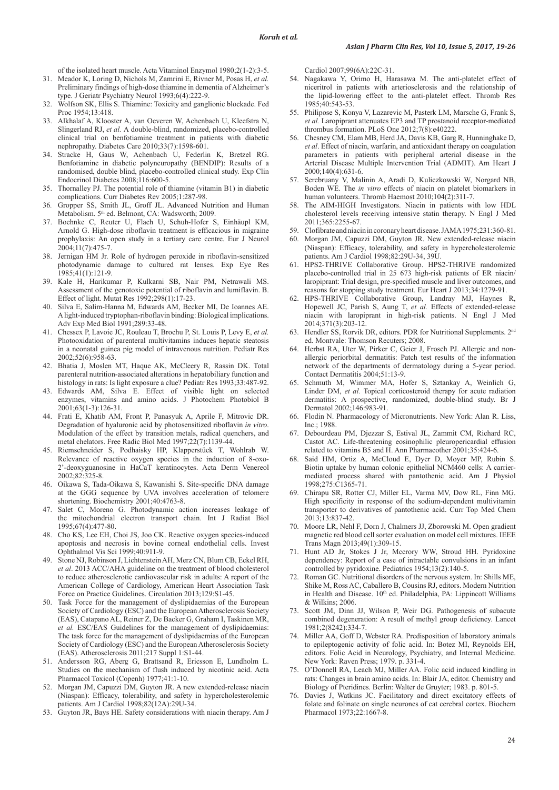of the isolated heart muscle. Acta Vitaminol Enzymol 1980;2(1-2):3-5.

- 31. Meador K, Loring D, Nichols M, Zamrini E, Rivner M, Posas H, *et al.* Preliminary findings of high-dose thiamine in dementia of Alzheimer's type. J Geriatr Psychiatry Neurol 1993;6(4):222-9.
- 32. Wolfson SK, Ellis S. Thiamine: Toxicity and ganglionic blockade. Fed Proc 1954;13:418.
- 33. Alkhalaf A, Klooster A, van Oeveren W, Achenbach U, Kleefstra N, Slingerland RJ, *et al.* A double-blind, randomized, placebo-controlled clinical trial on benfotiamine treatment in patients with diabetic nephropathy. Diabetes Care 2010;33(7):1598-601.
- Stracke H, Gaus W, Achenbach U, Federlin K, Bretzel RG. Benfotiamine in diabetic polyneuropathy (BENDIP): Results of a randomised, double blind, placebo-controlled clinical study. Exp Clin Endocrinol Diabetes 2008;116:600-5.
- 35. Thornalley PJ. The potential role of thiamine (vitamin B1) in diabetic complications. Curr Diabetes Rev 2005;1:287-98.
- 36*.* Gropper SS, Smith JL, Groff JL. Advanced Nutrition and Human Metabolism. 5<sup>th</sup> ed. Belmont, CA: Wadsworth; 2009.
- 37. Boehnke C, Reuter U, Flach U, Schuh-Hofer S, Einhäupl KM, Arnold G. High-dose riboflavin treatment is efficacious in migraine prophylaxis: An open study in a tertiary care centre. Eur J Neurol 2004;11(7):475-7.
- 38. Jernigan HM Jr. Role of hydrogen peroxide in riboflavin-sensitized photodynamic damage to cultured rat lenses. Exp Eye Res 1985;41(1):121-9.
- 39. Kale H, Harikumar P, Kulkarni SB, Nair PM, Netrawali MS. Assessment of the genotoxic potential of riboflavin and lumiflavin. B. Effect of light. Mutat Res 1992;298(1):17-23.
- 40. Silva E, Salim-Hanna M, Edwards AM, Becker MI, De Ioannes AE. Alight-induced tryptophan-riboflavin binding: Biological implications. Adv Exp Med Biol 1991;289:33-48.
- 41. Chessex P, Lavoie JC, Rouleau T, Brochu P, St. Louis P, Levy E, *et al.* Photooxidation of parenteral multivitamins induces hepatic steatosis in a neonatal guinea pig model of intravenous nutrition. Pediatr Res 2002;52(6):958-63.
- 42. Bhatia J, Moslen MT, Haque AK, McCleery R, Rassin DK. Total parenteral nutrition-associated alterations in hepatobiliary function and histology in rats: Is light exposure a clue? Pediatr Res 1993;33:487-92.
- 43. Edwards AM, Silva E. Effect of visible light on selected enzymes, vitamins and amino acids. J Photochem Photobiol B 2001;63(1-3):126-31.
- 44. Frati E, Khatib AM, Front P, Panasyuk A, Aprile F, Mitrovic DR. Degradation of hyaluronic acid by photosensitized riboflavin *in vitro*. Modulation of the effect by transition metals, radical quenchers, and metal chelators. Free Radic Biol Med 1997;22(7):1139-44.
- 45. Riemschneider S, Podhaisky HP, Klapperstück T, Wohlrab W. Relevance of reactive oxygen species in the induction of 8-oxo-2'-deoxyguanosine in HaCaT keratinocytes. Acta Derm Venereol 2002;82:325-8.
- 46. Oikawa S, Tada-Oikawa S, Kawanishi S. Site-specific DNA damage at the GGG sequence by UVA involves acceleration of telomere shortening. Biochemistry 2001;40:4763-8.
- 47. Salet C, Moreno G. Photodynamic action increases leakage of the mitochondrial electron transport chain. Int J Radiat Biol 1995;67(4):477-80.
- 48. Cho KS, Lee EH, Choi JS, Joo CK. Reactive oxygen species-induced apoptosis and necrosis in bovine corneal endothelial cells. Invest Ophthalmol Vis Sci 1999;40:911-9.
- 49. Stone NJ, Robinson J, Lichtenstein AH, Merz CN, Blum CB, Eckel RH, *et al*. 2013 ACC/AHA guideline on the treatment of blood cholesterol to reduce atherosclerotic cardiovascular risk in adults: A report of the American College of Cardiology, American Heart Association Task Force on Practice Guidelines. Circulation 2013;129:S1-45.
- 50. Task Force for the management of dyslipidaemias of the European Society of Cardiology (ESC) and the European Atherosclerosis Society (EAS), Catapano AL, Reiner Z, De Backer G, Graham I, Taskinen MR, *et al.* ESC/EAS Guidelines for the management of dyslipidaemias: The task force for the management of dyslipidaemias of the European Society of Cardiology (ESC) and the European Atherosclerosis Society (EAS). Atherosclerosis 2011;217 Suppl 1:S1-44.
- 51. Andersson RG, Aberg G, Brattsand R, Ericsson E, Lundholm L. Studies on the mechanism of flush induced by nicotinic acid. Acta Pharmacol Toxicol (Copenh) 1977;41:1-10.
- 52. Morgan JM, Capuzzi DM, Guyton JR. A new extended-release niacin (Niaspan): Efficacy, tolerability, and safety in hypercholesterolemic patients. Am J Cardiol 1998;82(12A):29U-34.
- 53. Guyton JR, Bays HE. Safety considerations with niacin therapy. Am J

Cardiol 2007;99(6A):22C-31.

- 54. Nagakawa Y, Orimo H, Harasawa M. The anti-platelet effect of niceritrol in patients with arteriosclerosis and the relationship of the lipid-lowering effect to the anti-platelet effect. Thromb Res  $1985 \cdot 40.543 - 53$
- 55. Philipose S, Konya V, Lazarevic M, Pasterk LM, Marsche G, Frank S, *et al.* Laropiprant attenuates EP3 and TP prostanoid receptor-mediated thrombus formation. PLoS One 2012;7(8):e40222.
- 56. Chesney CM, Elam MB, Herd JA, Davis KB, Garg R, Hunninghake D, *et al*. Effect of niacin, warfarin, and antioxidant therapy on coagulation parameters in patients with peripheral arterial disease in the Arterial Disease Multiple Intervention Trial (ADMIT). Am Heart J 2000;140(4):631-6.
- 57. Serebruany V, Malinin A, Aradi D, Kuliczkowski W, Norgard NB, Boden WE. The *in vitro* effects of niacin on platelet biomarkers in human volunteers. Thromb Haemost 2010;104(2):311-7.
- 58. The AIM-HIGH Investigators. Niacin in patients with low HDL cholesterol levels receiving intensive statin therapy. N Engl J Med 2011;365:2255-67.
- 59. Clofibrate and niacin in coronary heart disease. JAMA 1975;231:360-81.
- 60. Morgan JM, Capuzzi DM, Guyton JR. New extended-release niacin (Niaspan): Efficacy, tolerability, and safety in hypercholesterolemic patients. Am J Cardiol 1998;82:29U-34, 39U.
- 61. HPS2-THRIVE Collaborative Group. HPS2-THRIVE randomized placebo-controlled trial in 25 673 high-risk patients of ER niacin/ laropiprant: Trial design, pre-specified muscle and liver outcomes, and reasons for stopping study treatment. Eur Heart J 2013;34:1279-91.
- 62. HPS-THRIVE Collaborative Group, Landray MJ, Haynes R, Hopewell JC, Parish S, Aung T, *et al.* Effects of extended-release niacin with laropiprant in high-risk patients. N Engl J Med 2014;371(3):203-12.
- Hendler SS, Rorvik DR, editors. PDR for Nutritional Supplements. 2<sup>nd</sup> ed. Montvale: Thomson Recuters; 2008.
- 64. Herbst RA, Uter W, Pirker C, Geier J, Frosch PJ. Allergic and nonallergic periorbital dermatitis: Patch test results of the information network of the departments of dermatology during a 5-year period. Contact Dermatitis 2004;51:13-9.
- 65. Schmuth M, Wimmer MA, Hofer S, Sztankay A, Weinlich G, Linder DM, *et al.* Topical corticosteroid therapy for acute radiation dermatitis: A prospective, randomized, double-blind study. Br J Dermatol 2002;146:983-91.
- 66. Flodin N. Pharmacology of Micronutrients. New York: Alan R. Liss, Inc.; 1988.
- 67. Debourdeau PM, Djezzar S, Estival JL, Zammit CM, Richard RC, Castot AC. Life-threatening eosinophilic pleuropericardial effusion related to vitamins B5 and H. Ann Pharmacother 2001;35:424-6.
- 68. Said HM, Ortiz A, McCloud E, Dyer D, Moyer MP, Rubin S. Biotin uptake by human colonic epithelial NCM460 cells: A carriermediated process shared with pantothenic acid. Am J Physiol 1998;275:C1365-71.
- 69. Chirapu SR, Rotter CJ, Miller EL, Varma MV, Dow RL, Finn MG. High specificity in response of the sodium-dependent multivitamin transporter to derivatives of pantothenic acid. Curr Top Med Chem 2013;13:837-42.
- 70. Moore LR, Nehl F, Dorn J, Chalmers JJ, Zborowski M. Open gradient magnetic red blood cell sorter evaluation on model cell mixtures. IEEE Trans Magn 2013;49(1):309-15.
- 71. Hunt AD Jr, Stokes J Jr, Mccrory WW, Stroud HH. Pyridoxine dependency: Report of a case of intractable convulsions in an infant controlled by pyridoxine. Pediatrics 1954;13(2):140-5.
- Roman GC. Nutritional disorders of the nervous system. In: Shills ME, Shike M, Ross AC, Caballero B, Cousins RJ, editors. Modern Nutrition in Health and Disease. 10<sup>th</sup> ed. Philadelphia, PA: Lippincott Williams & Wilkins; 2006.
- Scott JM, Dinn JJ, Wilson P, Weir DG. Pathogenesis of subacute combined degeneration: A result of methyl group deficiency. Lancet 1981;2(8242):334-7.
- 74. Miller AA, Goff D, Webster RA. Predisposition of laboratory animals to epileptogenic activity of folic acid. In: Botez MI, Reynolds EH, editors. Folic Acid in Neurology, Psychiatry, and Internal Medicine. New York: Raven Press; 1979. p. 331-4.
- 75. O'Donnell RA, Leach MJ, Miller AA. Folic acid induced kindling in rats: Changes in brain amino acids. In: Blair JA, editor. Chemistry and Biology of Pteridines. Berlin: Walter de Gruyter; 1983. p. 801-5.
- 76. Davies J, Watkins JC. Facilitatory and direct excitatory effects of folate and folinate on single neurones of cat cerebral cortex. Biochem Pharmacol 1973;22:1667-8.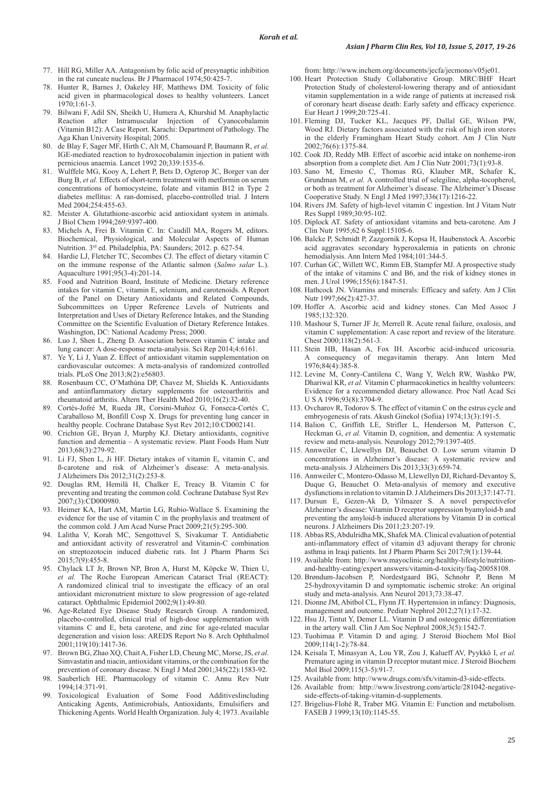- 77. Hill RG, Miller AA. Antagonism by folic acid of presynaptic inhibition in the rat cuneate nucleus. Br J Pharmacol 1974;50:425-7.
- 78. Hunter R, Barnes J, Oakeley HF, Matthews DM. Toxicity of folic acid given in pharmacological doses to healthy volunteers. Lancet  $1970 \cdot 1.61 - 3$
- 79. Bilwani F, Adil SN, Sheikh U, Humera A, Khurshid M. Anaphylactic Reaction after Intramuscular Injection of Cyanocobalamin (Vitamin B12): A Case Report. Karachi: Department of Pathology. The Aga Khan University Hospital; 2005.
- 80. de Blay F, Sager MF, Hirth C, Alt M, Chamouard P, Baumann R, *et al.* IGE-mediated reaction to hydroxocobalamin injection in patient with pernicious anaemia. Lancet 1992 20;339:1535-6.
- 81. Wulffele MG, Kooy A, Lehert P, Bets D, Ogterop JC, Borger van der Burg B, et al. Effects of short-term treatment with metformin on serum concentrations of homocysteine, folate and vitamin B12 in Type 2 diabetes mellitus: A ran-domised, placebo-controlled trial. J Intern Med 2004;254:455-63.
- 82. Meister A. Glutathione-ascorbic acid antioxidant system in animals. J Biol Chem 1994;269:9397-400.
- 83. Michels A, Frei B. Vitamin C. In: Caudill MA, Rogers M, editors. Biochemical, Physiological, and Molecular Aspects of Human Nutrition. 3rd ed. Philadelphia, PA: Saunders; 2012. p. 627-54.
- 84. Hardie LJ, Fletcher TC, Secombes CJ. The effect of dietary vitamin C on the immune response of the Atlantic salmon (*Salmo salar* L.). Aquaculture 1991;95(3-4):201-14.
- 85. Food and Nutrition Board, Institute of Medicine. Dietary reference intakes for vitamin C, vitamin E, selenium, and carotenoids. A Report of the Panel on Dietary Antioxidants and Related Compounds, Subcommittees on Upper Reference Levels of Nutrients and Interpretation and Uses of Dietary Reference Intakes, and the Standing Committee on the Scientific Evaluation of Dietary Reference Intakes. Washington, DC: National Academy Press; 2000.
- 86. Luo J, Shen L, Zheng D. Association between vitamin C intake and lung cancer: A dose-response meta-analysis. Sci Rep 2014;4:6161.
- 87. Ye Y, Li J, Yuan Z. Effect of antioxidant vitamin supplementation on cardiovascular outcomes: A meta-analysis of randomized controlled trials. PLoS One 2013;8(2):e56803.
- 88. Rosenbaum CC, O'Mathúna DP, Chavez M, Shields K. Antioxidants and antiinflammatory dietary supplements for osteoarthritis and rheumatoid arthritis. Altern Ther Health Med 2010;16(2):32-40.
- Cortés-Jofré M, Rueda JR, Corsini-Muñoz G, Fonseca-Cortés C, Caraballoso M, Bonfill Cosp X. Drugs for preventing lung cancer in healthy people. Cochrane Database Syst Rev 2012;10:CD002141.
- 90. Crichton GE, Bryan J, Murphy KJ. Dietary antioxidants, cognitive function and dementia – A systematic review. Plant Foods Hum Nutr 2013;68(3):279-92.
- 91. Li FJ, Shen L, Ji HF. Dietary intakes of vitamin E, vitamin C, and ß-carotene and risk of Alzheimer's disease: A meta-analysis. J Alzheimers Dis 2012;31(2):253-8.
- 92. Douglas RM, Hemilä H, Chalker E, Treacy B. Vitamin C for preventing and treating the common cold. Cochrane Database Syst Rev 2007;(3):CD000980.
- 93. Heimer KA, Hart AM, Martin LG, Rubio-Wallace S. Examining the evidence for the use of vitamin C in the prophylaxis and treatment of the common cold. J Am Acad Nurse Pract 2009;21(5):295-300.
- 94. Lalitha V, Korah MC, Sengottuvel S, Sivakumar T. Antidiabetic and antioxidant activity of resveratrol and Vitamin-C combination on streptozotocin induced diabetic rats. Int J Pharm Pharm Sci 2015;7(9):455-8.
- 95. Chylack LT Jr, Brown NP, Bron A, Hurst M, Köpcke W, Thien U, *et al.* The Roche European American Cataract Trial (REACT): A randomized clinical trial to investigate the efficacy of an oral antioxidant micronutrient mixture to slow progression of age-related cataract. Ophthalmic Epidemiol 2002;9(1):49-80.
- 96. Age-Related Eye Disease Study Research Group. A randomized, placebo-controlled, clinical trial of high-dose supplementation with vitamins C and E, beta carotene, and zinc for age-related macular degeneration and vision loss: AREDS Report No 8. Arch Ophthalmol 2001;119(10):1417-36.
- 97. Brown BG, Zhao XQ, Chait A, Fisher LD, Cheung MC, Morse,JS, *et al*. Simvastatin and niacin, antioxidant vitamins, or the combination for the prevention of coronary disease. N Engl J Med 2001;345(22):1583-92.
- 98. Sauberlich HE. Pharmacology of vitamin C. Annu Rev Nutr 1994;14:371-91.
- 99. Toxicological Evaluation of Some Food AdditivesIincluding Anticaking Agents, Antimicrobials, Antioxidants, Emulsifiers and Thickening Agents. World Health Organization. July 4; 1973. Available

from: http://www.inchem.org/documents/jecfa/jecmono/v05je01.

- 100. Heart Protection Study Collaborative Group. MRC/BHF Heart Protection Study of cholesterol-lowering therapy and of antioxidant vitamin supplementation in a wide range of patients at increased risk of coronary heart disease death: Early safety and efficacy experience. Eur Heart J 1999;20:725-41.
- 101. Fleming DJ, Tucker KL, Jacques PF, Dallal GE, Wilson PW, Wood RJ. Dietary factors associated with the risk of high iron stores in the elderly Framingham Heart Study cohort. Am J Clin Nutr 2002;76(6):1375-84.
- 102. Cook JD, Reddy MB. Effect of ascorbic acid intake on nonheme-iron absorption from a complete diet. Am J Clin Nutr 2001;73(1):93-8.
- 103. Sano M, Ernesto C, Thomas RG, Klauber MR, Schafer K, Grundman M, *et al.* A controlled trial of selegiline, alpha-tocopherol, or both as treatment for Alzheimer's disease. The Alzheimer's Disease Cooperative Study. N Engl J Med 1997;336(17):1216-22.
- 104. Rivers JM. Safety of high-level vitamin C ingestion. Int J Vitam Nutr Res Suppl 1989;30:95-102.
- 105. Diplock AT. Safety of antioxidant vitamins and beta-carotene. Am J Clin Nutr 1995;62 6 Suppl:1510S-6.
- 106. Balcke P, Schmidt P, Zazgornik J, Kopsa H, Haubenstock A. Ascorbic acid aggravates secondary hyperoxalemia in patients on chronic hemodialysis. Ann Intern Med 1984:101:344-5.
- 107. Curhan GC, Willett WC, Rimm EB, Stampfer MJ. A prospective study of the intake of vitamins C and B6, and the risk of kidney stones in men. J Urol 1996;155(6):1847-51.
- 108. Hathcock JN. Vitamins and minerals: Efficacy and safety. Am J Clin Nutr 1997;66(2):427-37.
- 109. Hoffer A. Ascorbic acid and kidney stones. Can Med Assoc J 1985;132:320.
- 110. Mashour S, Turner JF Jr, Merrell R. Acute renal failure, oxalosis, and vitamin C supplementation: A case report and review of the literature. Chest 2000;118(2):561-3.
- 111. Stein HB, Hasan A, Fox IH. Ascorbic acid-induced uricosuria. A consequency of megavitamin therapy. Ann Intern Med 1976;84(4):385-8.
- 112. Levine M, Conry-Cantilena C, Wang Y, Welch RW, Washko PW, Dhariwal KR, *et al.* Vitamin C pharmacokinetics in healthy volunteers: Evidence for a recommended dietary allowance. Proc Natl Acad Sci U S A 1996;93(8):3704-9.
- 113. Ovcharov R, Todorov S. The effect of vitamin C on the estrus cycle and embryogenesis of rats. Akush Ginekol (Sofiia) 1974;13(3):191-5.
- 114. Balion C, Griffith LE, Strifler L, Henderson M, Patterson C, Heckman G, *et al.* Vitamin D, cognition, and dementia: A systematic review and meta-analysis. Neurology 2012;79:1397-405.
- 115. Annweiler C, Llewellyn DJ, Beauchet O. Low serum vitamin D concentrations in Alzheimer's disease: A systematic review and meta-analysis. J Alzheimers Dis 2013;33(3):659-74.
- 116. Annweiler C, Montero-Odasso M, Llewellyn DJ, Richard-Devantoy S, Duque G, Beauchet O. Meta-analysis of memory and executive dysfunctions in relation to vitamin D. JAlzheimers Dis 2013;37:147-71.
- 117. Dursun E, Gezen-Ak D, Yilmazer S. A novel perspectivefor Alzheimer's disease: Vitamin D receptor suppression byamyloid-b and preventing the amyloid-b induced alterations by Vitamin D in cortical neurons. J Alzheimers Dis 2011;23:207-19.
- 118. Abbas RS, Abdulridha MK, Shafek MA. Clinical evaluation of potential anti-inflammatory effect of vitamin d3 adjuvant therapy for chronic asthma in Iraqi patients. Int J Pharm Pharm Sci 2017;9(1):139-44.
- 119. Available from: http://www.mayoclinic.org/healthy-lifestyle/nutritionand-healthy-eating/expert answers/vitamin-d-toxicity/faq-20058108.
- 120. Brøndum-Jacobsen P, Nordestgaard BG, Schnohr P, Benn M 25-hydroxyvitamin D and symptomatic ischemic stroke: An original study and meta-analysis. Ann Neurol 2013;73:38-47.
- 121. Dionne JM, Abitbol CL, Flynn JT. Hypertension in infancy: Diagnosis, management and outcome. Pediatr Nephrol 2012;27(1):17-32.
- 122. Hsu JJ, Tintut Y, Demer LL. Vitamin D and osteogenic differentiation in the artery wall. Clin J Am Soc Nephrol 2008;3(5):1542-7.
- 123. Tuohimaa P. Vitamin D and aging. J Steroid Biochem Mol Biol 2009;114(1-2):78-84.
- 124. Keisala T, Minasyan A, Lou YR, Zou J, Kalueff AV, Pyykkö I, *et al.* Premature aging in vitamin D receptor mutant mice. J Steroid Biochem Mol Biol 2009;115(3-5):91-7.
- 125. Available from: http://www.drugs.com/sfx/vitamin-d3-side-effects.
- 126. Available from: http://www.livestrong.com/article/281042-negativeside-effects-of-taking-vitamin-d-supplements.
- 127. Brigelius-Flohé R, Traber MG. Vitamin E: Function and metabolism. FASEB J 1999;13(10):1145-55.